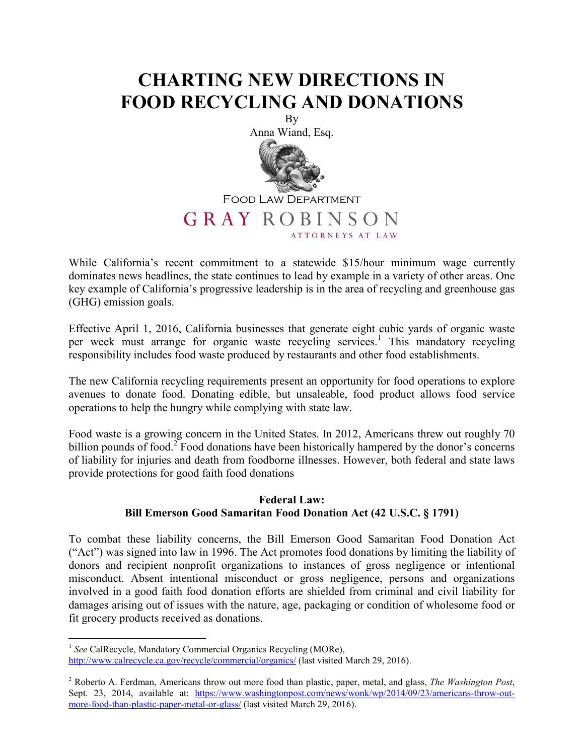## **CHARTING NEW DIRECTIONS IN FOOD RECYCLING AND DONATIONS**



While California's recent commitment to a statewide \$15/hour minimum wage currently dominates news headlines, the state continues to lead by example in a variety of other areas. One key example of California's progressive leadership is in the area of recycling and greenhouse gas (GHG) emission goals.

Effective April 1, 2016, California businesses that generate eight cubic yards of organic waste per week must arrange for organic waste recycling services.<sup>1</sup> This mandatory recycling responsibility includes food waste produced by restaurants and other food establishments.

The new California recycling requirements present an opportunity for food operations to explore avenues to donate food. Donating edible, but unsaleable, food product allows food service operations to help the hungry while complying with state law.

Food waste is a growing concern in the United States. In 2012, Americans threw out roughly 70 billion pounds of food.<sup>2</sup> Food donations have been historically hampered by the donor's concerns of liability for injuries and death from foodborne illnesses. However, both federal and state laws provide protections for good faith food donations

## **Federal Law: Bill Emerson Good Samaritan Food Donation Act (42 U.S.C. § 1791)**

To combat these liability concerns, the Bill Emerson Good Samaritan Food Donation Act ("Act") was signed into law in 1996. The Act promotes food donations by limiting the liability of donors and recipient nonprofit organizations to instances of gross negligence or intentional misconduct. Absent intentional misconduct or gross negligence, persons and organizations involved in a good faith food donation efforts are shielded from criminal and civil liability for damages arising out of issues with the nature, age, packaging or condition of wholesome food or fit grocery products received as donations.

<sup>&</sup>lt;sup>1</sup> See CalRecycle, Mandatory Commercial Organics Recycling (MORe),

http://www.calrecycle.ca.gov/recycle/commercial/organics/ (last visited March 29, 2016).

<sup>2</sup> Roberto A. Ferdman, Americans throw out more food than plastic, paper, metal, and glass, *The Washington Post*, Sept. 23, 2014, available at: https://www.washingtonpost.com/news/wonk/wp/2014/09/23/americans-throw-outmore-food-than-plastic-paper-metal-or-glass/ (last visited March 29, 2016).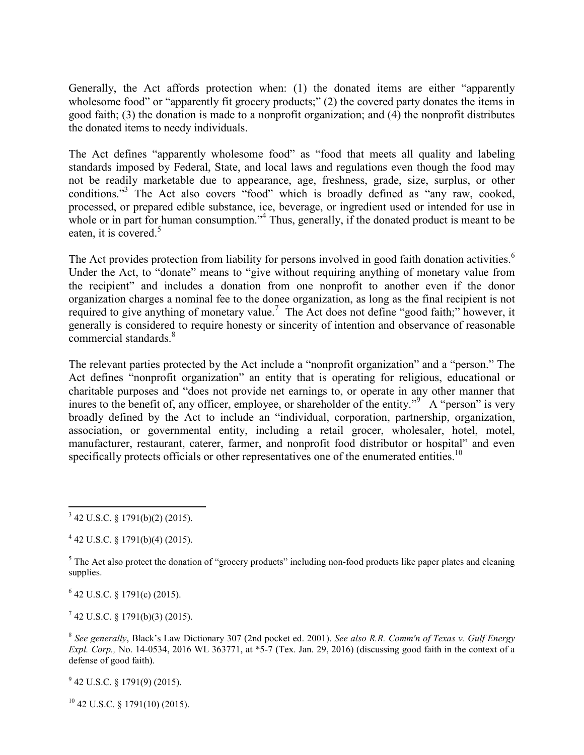Generally, the Act affords protection when: (1) the donated items are either "apparently wholesome food" or "apparently fit grocery products;" (2) the covered party donates the items in good faith; (3) the donation is made to a nonprofit organization; and (4) the nonprofit distributes the donated items to needy individuals.

The Act defines "apparently wholesome food" as "food that meets all quality and labeling standards imposed by Federal, State, and local laws and regulations even though the food may not be readily marketable due to appearance, age, freshness, grade, size, surplus, or other conditions."<sup>3</sup> The Act also covers "food" which is broadly defined as "any raw, cooked, processed, or prepared edible substance, ice, beverage, or ingredient used or intended for use in whole or in part for human consumption."<sup>4</sup> Thus, generally, if the donated product is meant to be eaten, it is covered.<sup>5</sup>

The Act provides protection from liability for persons involved in good faith donation activities.<sup>6</sup> Under the Act, to "donate" means to "give without requiring anything of monetary value from the recipient" and includes a donation from one nonprofit to another even if the donor organization charges a nominal fee to the donee organization, as long as the final recipient is not required to give anything of monetary value.<sup>7</sup> The Act does not define "good faith;" however, it generally is considered to require honesty or sincerity of intention and observance of reasonable commercial standards<sup>8</sup>

The relevant parties protected by the Act include a "nonprofit organization" and a "person." The Act defines "nonprofit organization" an entity that is operating for religious, educational or charitable purposes and "does not provide net earnings to, or operate in any other manner that inures to the benefit of, any officer, employee, or shareholder of the entity."  $A$  "person" is very broadly defined by the Act to include an "individual, corporation, partnership, organization, association, or governmental entity, including a retail grocer, wholesaler, hotel, motel, manufacturer, restaurant, caterer, farmer, and nonprofit food distributor or hospital" and even specifically protects officials or other representatives one of the enumerated entities.<sup>10</sup>

 $6$  42 U.S.C. § 1791(c) (2015).

 $7$  42 U.S.C. § 1791(b)(3) (2015).

8 *See generally*, Black's Law Dictionary 307 (2nd pocket ed. 2001). *See also R.R. Comm'n of Texas v. Gulf Energy Expl. Corp.,* No. 14-0534, 2016 WL 363771, at \*5-7 (Tex. Jan. 29, 2016) (discussing good faith in the context of a defense of good faith).

 $9$  42 U.S.C. § 1791(9) (2015).

 $^{10}$  42 U.S.C. § 1791(10) (2015).

 $3$  42 U.S.C. § 1791(b)(2) (2015).

 $4$  42 U.S.C. § 1791(b)(4) (2015).

 $5$  The Act also protect the donation of "grocery products" including non-food products like paper plates and cleaning supplies.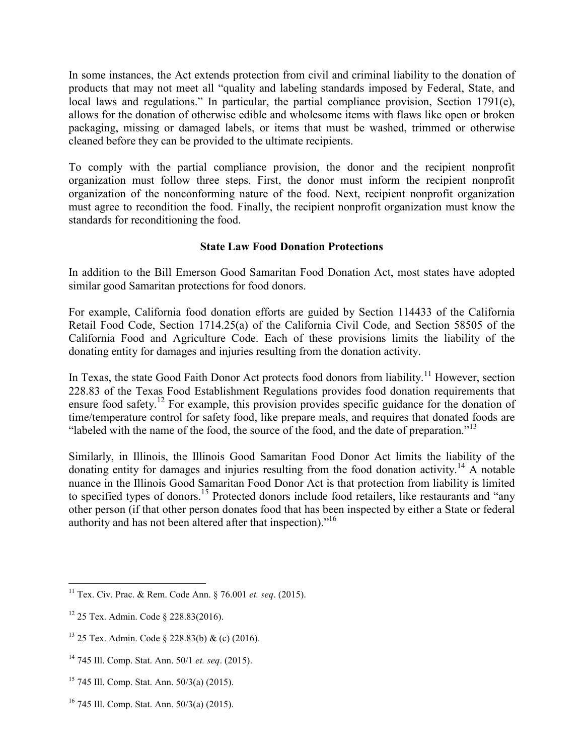In some instances, the Act extends protection from civil and criminal liability to the donation of products that may not meet all "quality and labeling standards imposed by Federal, State, and local laws and regulations." In particular, the partial compliance provision, Section 1791(e), allows for the donation of otherwise edible and wholesome items with flaws like open or broken packaging, missing or damaged labels, or items that must be washed, trimmed or otherwise cleaned before they can be provided to the ultimate recipients.

To comply with the partial compliance provision, the donor and the recipient nonprofit organization must follow three steps. First, the donor must inform the recipient nonprofit organization of the nonconforming nature of the food. Next, recipient nonprofit organization must agree to recondition the food. Finally, the recipient nonprofit organization must know the standards for reconditioning the food.

## **State Law Food Donation Protections**

In addition to the Bill Emerson Good Samaritan Food Donation Act, most states have adopted similar good Samaritan protections for food donors.

For example, California food donation efforts are guided by Section 114433 of the California Retail Food Code, Section 1714.25(a) of the California Civil Code, and Section 58505 of the California Food and Agriculture Code. Each of these provisions limits the liability of the donating entity for damages and injuries resulting from the donation activity.

In Texas, the state Good Faith Donor Act protects food donors from liability.<sup>11</sup> However, section 228.83 of the Texas Food Establishment Regulations provides food donation requirements that ensure food safety.<sup>12</sup> For example, this provision provides specific guidance for the donation of time/temperature control for safety food, like prepare meals, and requires that donated foods are "labeled with the name of the food, the source of the food, and the date of preparation."<sup>13</sup>

Similarly, in Illinois, the Illinois Good Samaritan Food Donor Act limits the liability of the donating entity for damages and injuries resulting from the food donation activity.<sup>14</sup> A notable nuance in the Illinois Good Samaritan Food Donor Act is that protection from liability is limited to specified types of donors.<sup>15</sup> Protected donors include food retailers, like restaurants and "any other person (if that other person donates food that has been inspected by either a State or federal authority and has not been altered after that inspection)."<sup>16</sup>

<sup>11</sup> Tex. Civ. Prac. & Rem. Code Ann. § 76.001 *et. seq*. (2015).

<sup>12</sup> 25 Tex. Admin. Code § 228.83(2016).

 $13$  25 Tex. Admin. Code § 228.83(b) & (c) (2016).

<sup>14</sup> 745 Ill. Comp. Stat. Ann. 50/1 *et. seq*. (2015).

<sup>15</sup> 745 Ill. Comp. Stat. Ann. 50/3(a) (2015).

<sup>16</sup> 745 Ill. Comp. Stat. Ann. 50/3(a) (2015).